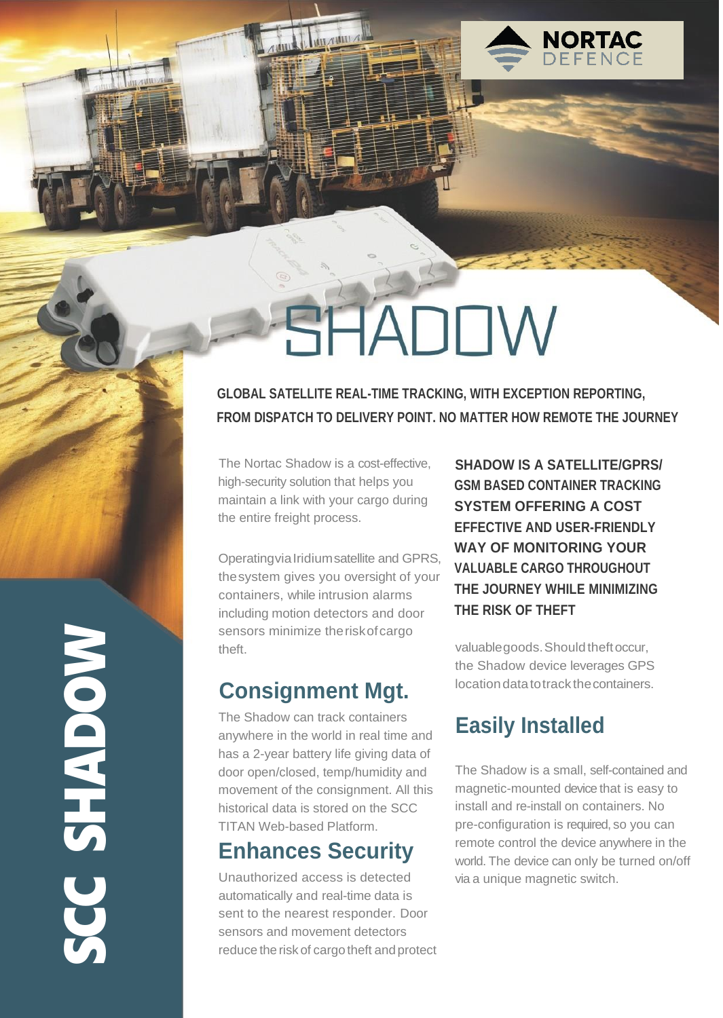

# **SHADOW**

**GLOBAL SATELLITE REAL-TIME TRACKING, WITH EXCEPTION REPORTING, FROM DISPATCH TO DELIVERY POINT. NO MATTER HOW REMOTE THE JOURNEY**

The Nortac Shadow is a cost-effective, high-security solution that helps you maintain a link with your cargo during the entire freight process.

OperatingviaIridiumsatellite and GPRS, thesystem gives you oversight of your containers, while intrusion alarms including motion detectors and door sensors minimize the risk of cargo theft.

## **Consignment Mgt.**

The Shadow can track containers anywhere in the world in real time and has a 2-year battery life giving data of door open/closed, temp/humidity and movement of the consignment. All this historical data is stored on the SCC TITAN Web-based Platform.

## **Enhances Security**

NOC SHADON CC SHADOW

Unauthorized access is detected automatically and real-time data is sent to the nearest responder. Door sensors and movement detectors reduce the risk of cargo theft and protect

**SHADOW IS A SATELLITE/GPRS/ GSM BASED CONTAINER TRACKING SYSTEM OFFERING A COST EFFECTIVE AND USER-FRIENDLY WAY OF MONITORING YOUR VALUABLE CARGO THROUGHOUT THE JOURNEY WHILE MINIMIZING THE RISK OF THEFT**

valuable goods. Should theft occur, the Shadow device leverages GPS locationdatatotrack thecontainers.

# **Easily Installed**

The Shadow is a small, self-contained and magnetic-mounted device that is easy to install and re-install on containers. No pre-configuration is required, so you can remote control the device anywhere in the world. The device can only be turned on/off via a unique magnetic switch.